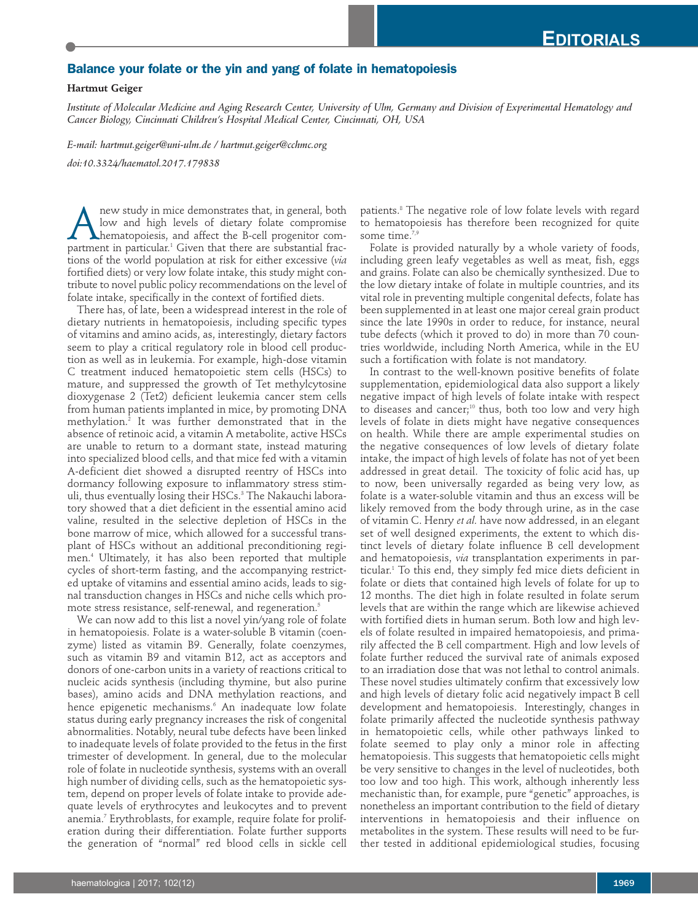# **Balance your folate or the yin and yang of folate in hematopoiesis**

### **Hartmut Geiger**

Institute of Molecular Medicine and Aging Research Center, University of Ulm, Germany and Division of Experimental Hematology and *Cancer Biology, Cincinnati Children's Hospital Medical Center, Cincinnati, OH, USA*

*E-mail: hartmut.geiger@uni-ulm.de / hartmut.geiger@cchmc.org*

*doi:10.3324/haematol.2017.179838*

new study in mice demonstrates that, in general, both<br>low and high levels of dietary folate compromise<br>hematopoiesis, and affect the B-cell progenitor com-<br>partment in particular.<sup>1</sup> Given that there are substantial fraclow and high levels of dietary folate compromise hematopoiesis, and affect the B-cell progenitor compartment in particular. <sup>1</sup> Given that there are substantial fractions of the world population at risk for either excessive (*via* fortified diets) or very low folate intake, this study might contribute to novel public policy recommendations on the level of folate intake, specifically in the context of fortified diets.

There has, of late, been a widespread interest in the role of dietary nutrients in hematopoiesis, including specific types of vitamins and amino acids, as, interestingly, dietary factors seem to play a critical regulatory role in blood cell production as well as in leukemia. For example, high-dose vitamin C treatment induced hematopoietic stem cells (HSCs) to mature, and suppressed the growth of Tet methylcytosine dioxygenase 2 (Tet2) deficient leukemia cancer stem cells from human patients implanted in mice, by promoting DNA methylation. <sup>2</sup> It was further demonstrated that in the absence of retinoic acid, a vitamin A metabolite, active HSCs are unable to return to a dormant state, instead maturing into specialized blood cells, and that mice fed with a vitamin A-deficient diet showed a disrupted reentry of HSCs into dormancy following exposure to inflammatory stress stimuli, thus eventually losing their HSCs. <sup>3</sup> The Nakauchi laboratory showed that a diet deficient in the essential amino acid valine, resulted in the selective depletion of HSCs in the bone marrow of mice, which allowed for a successful transplant of HSCs without an additional preconditioning regimen. <sup>4</sup> Ultimately, it has also been reported that multiple cycles of short-term fasting, and the accompanying restricted uptake of vitamins and essential amino acids, leads to signal transduction changes in HSCs and niche cells which promote stress resistance, self-renewal, and regeneration. 5

We can now add to this list a novel yin/yang role of folate in hematopoiesis. Folate is a water-soluble B vitamin (coenzyme) listed as vitamin B9. Generally, folate coenzymes, such as vitamin B9 and vitamin B12, act as acceptors and donors of one-carbon units in a variety of reactions critical to nucleic acids synthesis (including thymine, but also purine bases), amino acids and DNA methylation reactions, and hence epigenetic mechanisms. <sup>6</sup> An inadequate low folate status during early pregnancy increases the risk of congenital abnormalities. Notably, neural tube defects have been linked to inadequate levels of folate provided to the fetus in the first trimester of development. In general, due to the molecular role of folate in nucleotide synthesis, systems with an overall high number of dividing cells, such as the hematopoietic system, depend on proper levels of folate intake to provide adequate levels of erythrocytes and leukocytes and to prevent anemia. <sup>7</sup> Erythroblasts, for example, require folate for proliferation during their differentiation. Folate further supports the generation of "normal" red blood cells in sickle cell

patients. <sup>8</sup> The negative role of low folate levels with regard to hematopoiesis has therefore been recognized for quite some time.<sup>7,9</sup>

Folate is provided naturally by a whole variety of foods, including green leafy vegetables as well as meat, fish, eggs and grains. Folate can also be chemically synthesized. Due to the low dietary intake of folate in multiple countries, and its vital role in preventing multiple congenital defects, folate has been supplemented in at least one major cereal grain product since the late 1990s in order to reduce, for instance, neural tube defects (which it proved to do) in more than 70 countries worldwide, including North America, while in the EU such a fortification with folate is not mandatory.

In contrast to the well-known positive benefits of folate supplementation, epidemiological data also support a likely negative impact of high levels of folate intake with respect to diseases and cancer; <sup>10</sup> thus, both too low and very high levels of folate in diets might have negative consequences on health. While there are ample experimental studies on the negative consequences of low levels of dietary folate intake, the impact of high levels of folate has not of yet been addressed in great detail. The toxicity of folic acid has, up to now, been universally regarded as being very low, as folate is a water-soluble vitamin and thus an excess will be likely removed from the body through urine, as in the case of vitamin C. Henry *et al.* have now addressed, in an elegant set of well designed experiments, the extent to which distinct levels of dietary folate influence B cell development and hematopoiesis, *via* transplantation experiments in particular. <sup>1</sup> To this end, they simply fed mice diets deficient in folate or diets that contained high levels of folate for up to 12 months. The diet high in folate resulted in folate serum levels that are within the range which are likewise achieved with fortified diets in human serum. Both low and high levels of folate resulted in impaired hematopoiesis, and primarily affected the B cell compartment. High and low levels of folate further reduced the survival rate of animals exposed to an irradiation dose that was not lethal to control animals. These novel studies ultimately confirm that excessively low and high levels of dietary folic acid negatively impact B cell development and hematopoiesis. Interestingly, changes in folate primarily affected the nucleotide synthesis pathway in hematopoietic cells, while other pathways linked to folate seemed to play only a minor role in affecting hematopoiesis. This suggests that hematopoietic cells might be very sensitive to changes in the level of nucleotides, both too low and too high. This work, although inherently less mechanistic than, for example, pure "genetic" approaches, is nonetheless an important contribution to the field of dietary interventions in hematopoiesis and their influence on metabolites in the system. These results will need to be further tested in additional epidemiological studies, focusing